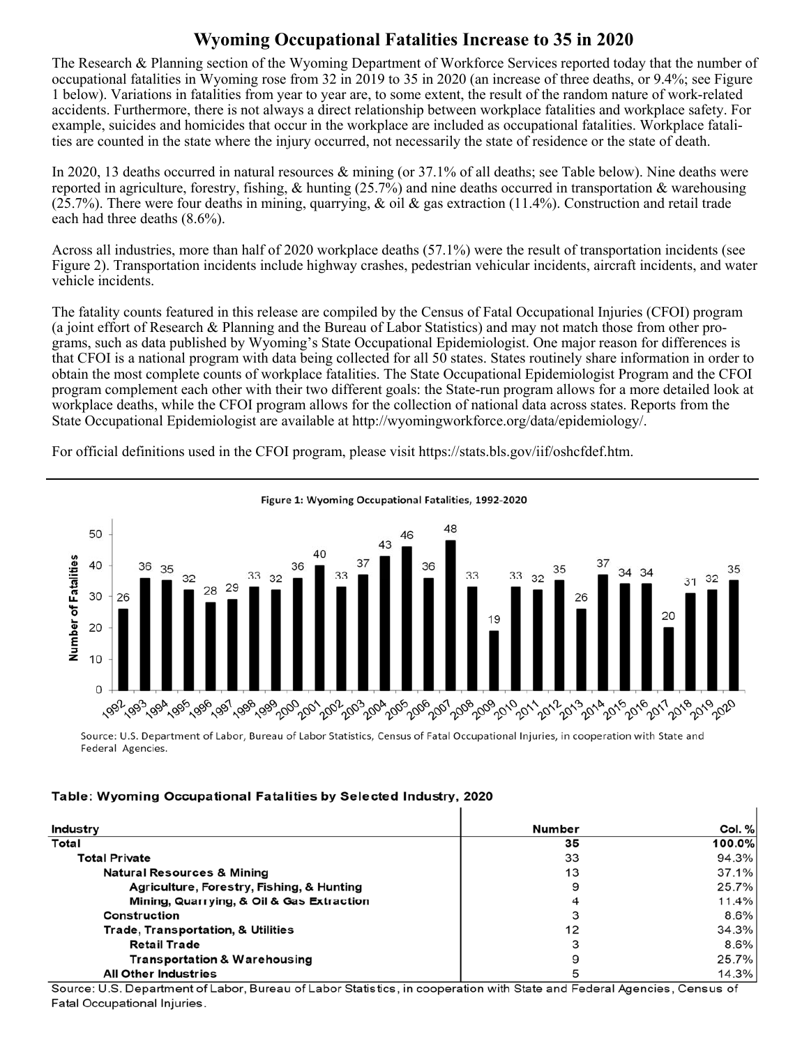## **Wyoming Occupational Fatalities Increase to 35 in 2020**

The Research & Planning section of the Wyoming Department of Workforce Services reported today that the number of occupational fatalities in Wyoming rose from 32 in 2019 to 35 in 2020 (an increase of three deaths, or 9.4%; see Figure 1 below). Variations in fatalities from year to year are, to some extent, the result of the random nature of work-related accidents. Furthermore, there is not always a direct relationship between workplace fatalities and workplace safety. For example, suicides and homicides that occur in the workplace are included as occupational fatalities. Workplace fatalities are counted in the state where the injury occurred, not necessarily the state of residence or the state of death.

In 2020, 13 deaths occurred in natural resources & mining (or 37.1% of all deaths; see Table below). Nine deaths were reported in agriculture, forestry, fishing,  $\&$  hunting (25.7%) and nine deaths occurred in transportation  $\&$  warehousing  $(25.7%)$ . There were four deaths in mining, quarrying, & oil & gas extraction (11.4%). Construction and retail trade each had three deaths (8.6%).

Across all industries, more than half of 2020 workplace deaths (57.1%) were the result of transportation incidents (see Figure 2). Transportation incidents include highway crashes, pedestrian vehicular incidents, aircraft incidents, and water vehicle incidents.

The fatality counts featured in this release are compiled by the Census of Fatal Occupational Injuries (CFOI) program (a joint effort of Research & Planning and the Bureau of Labor Statistics) and may not match those from other programs, such as data published by Wyoming's State Occupational Epidemiologist. One major reason for differences is that CFOI is a national program with data being collected for all 50 states. States routinely share information in order to obtain the most complete counts of workplace fatalities. The State Occupational Epidemiologist Program and the CFOI program complement each other with their two different goals: the State-run program allows for a more detailed look at workplace deaths, while the CFOI program allows for the collection of national data across states. Reports from the State Occupational Epidemiologist are available at http://wyomingworkforce.org/data/epidemiology/.

For official definitions used in the CFOI program, please visit https://stats.bls.gov/iif/oshcfdef.htm.



Source: U.S. Department of Labor, Bureau of Labor Statistics, Census of Fatal Occupational Injuries, in cooperation with State and Federal Agencies.

## Table: Wyoming Occupational Fatalities by Selected Industry, 2020

| Industry                                  | Number | Col. %  |
|-------------------------------------------|--------|---------|
| Total                                     | 35     | 100.0%  |
| <b>Total Private</b>                      | 33     | 94.3%   |
| <b>Natural Resources &amp; Mining</b>     | 13     | 37.1%   |
| Agriculture, Forestry, Fishing, & Hunting | 9      | 25.7%   |
| Mining, Quarrying, & Oil & Gas Extraction |        | 11.4%   |
| Construction                              |        | $8.6\%$ |
| Trade, Transportation, & Utilities        | 12     | 34.3%   |
| <b>Retail Trade</b>                       |        | $8.6\%$ |
| Transportation & Warehousing              | 9      | 25.7%   |
| <b>All Other Industries</b>               |        | 14.3%   |

Source: U.S. Department of Labor, Bureau of Labor Statistics, in cooperation with State and Federal Agencies, Census of Fatal Occupational Injuries.